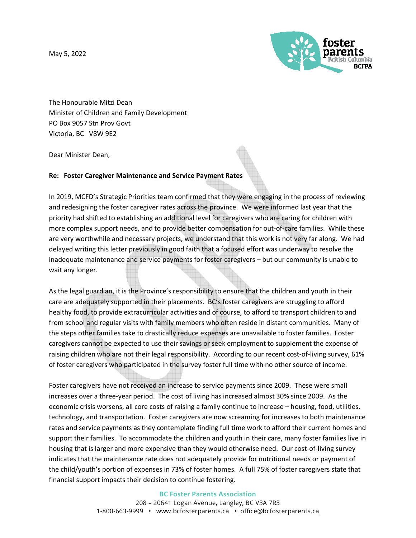May 5, 2022



The Honourable Mitzi Dean Minister of Children and Family Development PO Box 9057 Stn Prov Govt Victoria, BC V8W 9E2

Dear Minister Dean,

## **Re: Foster Caregiver Maintenance and Service Payment Rates**

In 2019, MCFD's Strategic Priorities team confirmed that they were engaging in the process of reviewing and redesigning the foster caregiver rates across the province. We were informed last year that the priority had shifted to establishing an additional level for caregivers who are caring for children with more complex support needs, and to provide better compensation for out-of-care families. While these are very worthwhile and necessary projects, we understand that this work is not very far along. We had delayed writing this letter previously in good faith that a focused effort was underway to resolve the inadequate maintenance and service payments for foster caregivers – but our community is unable to wait any longer.

As the legal guardian, it is the Province's responsibility to ensure that the children and youth in their care are adequately supported in their placements. BC's foster caregivers are struggling to afford healthy food, to provide extracurricular activities and of course, to afford to transport children to and from school and regular visits with family members who often reside in distant communities. Many of the steps other families take to drastically reduce expenses are unavailable to foster families. Foster caregivers cannot be expected to use their savings or seek employment to supplement the expense of raising children who are not their legal responsibility. According to our recent cost-of-living survey, 61% of foster caregivers who participated in the survey foster full time with no other source of income.

Foster caregivers have not received an increase to service payments since 2009. These were small increases over a three-year period. The cost of living has increased almost 30% since 2009. As the economic crisis worsens, all core costs of raising a family continue to increase – housing, food, utilities, technology, and transportation. Foster caregivers are now screaming for increases to both maintenance rates and service payments as they contemplate finding full time work to afford their current homes and support their families. To accommodate the children and youth in their care, many foster families live in housing that is larger and more expensive than they would otherwise need. Our cost-of-living survey indicates that the maintenance rate does not adequately provide for nutritional needs or payment of the child/youth's portion of expenses in 73% of foster homes. A full 75% of foster caregivers state that financial support impacts their decision to continue fostering.

> **BC Foster Parents Association** 208 – 20641 Logan Avenue, Langley, BC V3A 7R3 1-800-663-9999 • www.bcfosterparents.ca • office@bcfosterparents.ca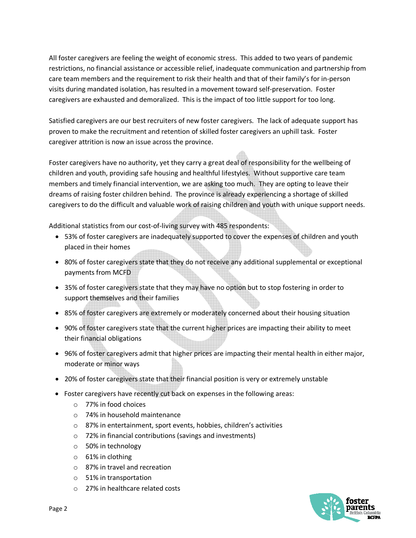All foster caregivers are feeling the weight of economic stress. This added to two years of pandemic restrictions, no financial assistance or accessible relief, inadequate communication and partnership from care team members and the requirement to risk their health and that of their family's for in-person visits during mandated isolation, has resulted in a movement toward self-preservation. Foster caregivers are exhausted and demoralized. This is the impact of too little support for too long.

Satisfied caregivers are our best recruiters of new foster caregivers. The lack of adequate support has proven to make the recruitment and retention of skilled foster caregivers an uphill task. Foster caregiver attrition is now an issue across the province.

Foster caregivers have no authority, yet they carry a great deal of responsibility for the wellbeing of children and youth, providing safe housing and healthful lifestyles. Without supportive care team members and timely financial intervention, we are asking too much. They are opting to leave their dreams of raising foster children behind. The province is already experiencing a shortage of skilled caregivers to do the difficult and valuable work of raising children and youth with unique support needs.

Additional statistics from our cost-of-living survey with 485 respondents:

- 53% of foster caregivers are inadequately supported to cover the expenses of children and youth placed in their homes
- 80% of foster caregivers state that they do not receive any additional supplemental or exceptional payments from MCFD
- 35% of foster caregivers state that they may have no option but to stop fostering in order to support themselves and their families
- 85% of foster caregivers are extremely or moderately concerned about their housing situation
- 90% of foster caregivers state that the current higher prices are impacting their ability to meet their financial obligations
- 96% of foster caregivers admit that higher prices are impacting their mental health in either major, moderate or minor ways
- 20% of foster caregivers state that their financial position is very or extremely unstable
- Foster caregivers have recently cut back on expenses in the following areas:
	- o 77% in food choices
	- o 74% in household maintenance
	- o 87% in entertainment, sport events, hobbies, children's activities
	- o 72% in financial contributions (savings and investments)
	- o 50% in technology
	- $\circ$  61% in clothing
	- o 87% in travel and recreation
	- o 51% in transportation
	- o 27% in healthcare related costs

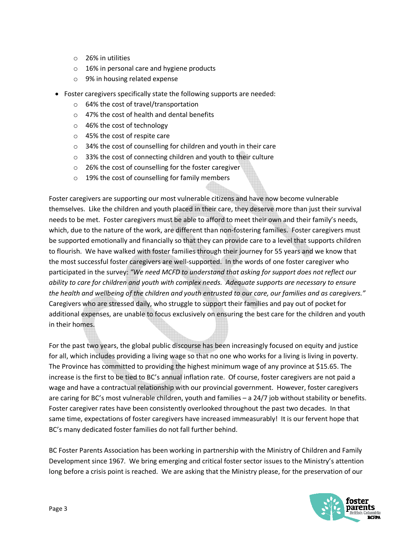- o 26% in utilities
- o 16% in personal care and hygiene products
- o 9% in housing related expense
- Foster caregivers specifically state the following supports are needed:
	- o 64% the cost of travel/transportation
	- o 47% the cost of health and dental benefits
	- o 46% the cost of technology
	- o 45% the cost of respite care
	- o 34% the cost of counselling for children and youth in their care
	- o 33% the cost of connecting children and youth to their culture
	- o 26% the cost of counselling for the foster caregiver
	- o 19% the cost of counselling for family members

Foster caregivers are supporting our most vulnerable citizens and have now become vulnerable themselves. Like the children and youth placed in their care, they deserve more than just their survival needs to be met. Foster caregivers must be able to afford to meet their own and their family's needs, which, due to the nature of the work, are different than non-fostering families. Foster caregivers must be supported emotionally and financially so that they can provide care to a level that supports children to flourish. We have walked with foster families through their journey for 55 years and we know that the most successful foster caregivers are well-supported. In the words of one foster caregiver who participated in the survey: *"We need MCFD to understand that asking for support does not reflect our ability to care for children and youth with complex needs. Adequate supports are necessary to ensure the health and wellbeing of the children and youth entrusted to our care, our families and as caregivers."*  Caregivers who are stressed daily, who struggle to support their families and pay out of pocket for additional expenses, are unable to focus exclusively on ensuring the best care for the children and youth in their homes.

For the past two years, the global public discourse has been increasingly focused on equity and justice for all, which includes providing a living wage so that no one who works for a living is living in poverty. The Province has committed to providing the highest minimum wage of any province at \$15.65. The increase is the first to be tied to BC's annual inflation rate. Of course, foster caregivers are not paid a wage and have a contractual relationship with our provincial government. However, foster caregivers are caring for BC's most vulnerable children, youth and families – a 24/7 job without stability or benefits. Foster caregiver rates have been consistently overlooked throughout the past two decades. In that same time, expectations of foster caregivers have increased immeasurably! It is our fervent hope that BC's many dedicated foster families do not fall further behind.

BC Foster Parents Association has been working in partnership with the Ministry of Children and Family Development since 1967. We bring emerging and critical foster sector issues to the Ministry's attention long before a crisis point is reached. We are asking that the Ministry please, for the preservation of our